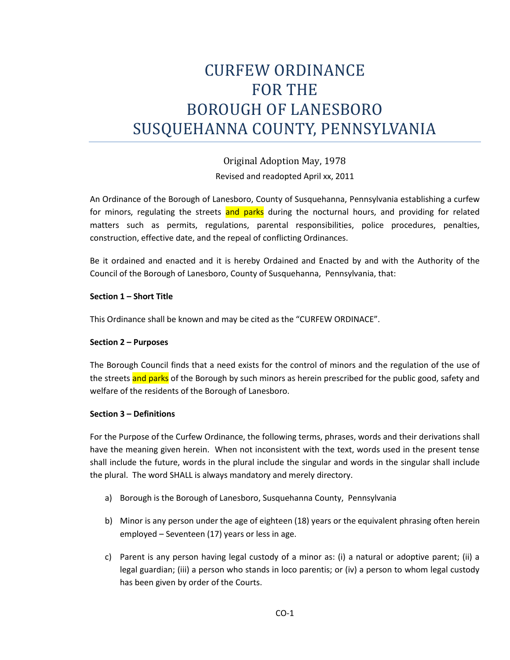# CURFEW ORDINANCE FOR THE BOROUGH OF LANESBORO SUSQUEHANNA COUNTY, PENNSYLVANIA

Original Adoption May, 1978 Revised and readopted April xx, 2011

An Ordinance of the Borough of Lanesboro, County of Susquehanna, Pennsylvania establishing a curfew for minors, regulating the streets and parks during the nocturnal hours, and providing for related matters such as permits, regulations, parental responsibilities, police procedures, penalties, construction, effective date, and the repeal of conflicting Ordinances.

Be it ordained and enacted and it is hereby Ordained and Enacted by and with the Authority of the Council of the Borough of Lanesboro, County of Susquehanna, Pennsylvania, that:

# **Section 1 – Short Title**

This Ordinance shall be known and may be cited as the "CURFEW ORDINACE".

### **Section 2 – Purposes**

The Borough Council finds that a need exists for the control of minors and the regulation of the use of the streets and parks of the Borough by such minors as herein prescribed for the public good, safety and welfare of the residents of the Borough of Lanesboro.

### **Section 3 – Definitions**

For the Purpose of the Curfew Ordinance, the following terms, phrases, words and their derivations shall have the meaning given herein. When not inconsistent with the text, words used in the present tense shall include the future, words in the plural include the singular and words in the singular shall include the plural. The word SHALL is always mandatory and merely directory.

- a) Borough is the Borough of Lanesboro, Susquehanna County, Pennsylvania
- b) Minor is any person under the age of eighteen (18) years or the equivalent phrasing often herein employed – Seventeen (17) years or less in age.
- c) Parent is any person having legal custody of a minor as: (i) a natural or adoptive parent; (ii) a legal guardian; (iii) a person who stands in loco parentis; or (iv) a person to whom legal custody has been given by order of the Courts.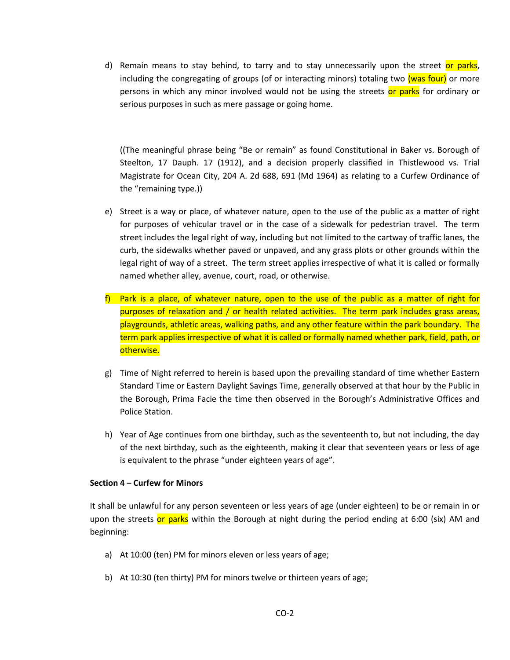d) Remain means to stay behind, to tarry and to stay unnecessarily upon the street or parks, including the congregating of groups (of or interacting minors) totaling two (was four) or more persons in which any minor involved would not be using the streets or parks for ordinary or serious purposes in such as mere passage or going home.

((The meaningful phrase being "Be or remain" as found Constitutional in Baker vs. Borough of Steelton, 17 Dauph. 17 (1912), and a decision properly classified in Thistlewood vs. Trial Magistrate for Ocean City, 204 A. 2d 688, 691 (Md 1964) as relating to a Curfew Ordinance of the "remaining type.))

- e) Street is a way or place, of whatever nature, open to the use of the public as a matter of right for purposes of vehicular travel or in the case of a sidewalk for pedestrian travel. The term street includes the legal right of way, including but not limited to the cartway of traffic lanes, the curb, the sidewalks whether paved or unpaved, and any grass plots or other grounds within the legal right of way of a street. The term street applies irrespective of what it is called or formally named whether alley, avenue, court, road, or otherwise.
- f) Park is a place, of whatever nature, open to the use of the public as a matter of right for purposes of relaxation and / or health related activities. The term park includes grass areas, playgrounds, athletic areas, walking paths, and any other feature within the park boundary. The term park applies irrespective of what it is called or formally named whether park, field, path, or otherwise.
- g) Time of Night referred to herein is based upon the prevailing standard of time whether Eastern Standard Time or Eastern Daylight Savings Time, generally observed at that hour by the Public in the Borough, Prima Facie the time then observed in the Borough's Administrative Offices and Police Station.
- h) Year of Age continues from one birthday, such as the seventeenth to, but not including, the day of the next birthday, such as the eighteenth, making it clear that seventeen years or less of age is equivalent to the phrase "under eighteen years of age".

### **Section 4 – Curfew for Minors**

It shall be unlawful for any person seventeen or less years of age (under eighteen) to be or remain in or upon the streets or parks within the Borough at night during the period ending at 6:00 (six) AM and beginning:

- a) At 10:00 (ten) PM for minors eleven or less years of age;
- b) At 10:30 (ten thirty) PM for minors twelve or thirteen years of age;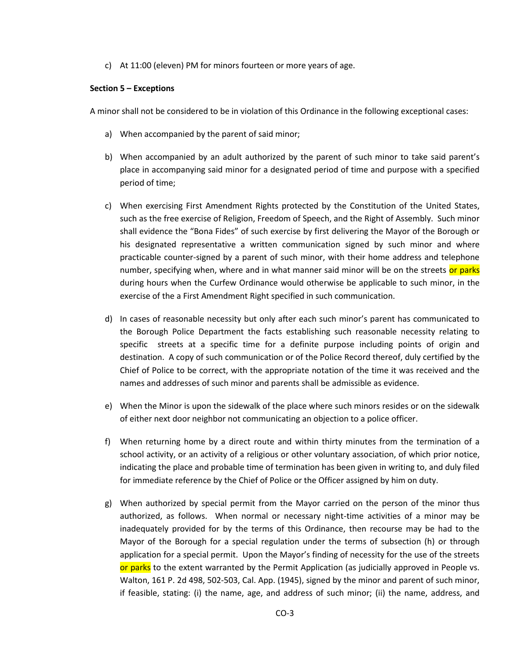c) At 11:00 (eleven) PM for minors fourteen or more years of age.

#### **Section 5 – Exceptions**

A minor shall not be considered to be in violation of this Ordinance in the following exceptional cases:

- a) When accompanied by the parent of said minor;
- b) When accompanied by an adult authorized by the parent of such minor to take said parent's place in accompanying said minor for a designated period of time and purpose with a specified period of time;
- c) When exercising First Amendment Rights protected by the Constitution of the United States, such as the free exercise of Religion, Freedom of Speech, and the Right of Assembly. Such minor shall evidence the "Bona Fides" of such exercise by first delivering the Mayor of the Borough or his designated representative a written communication signed by such minor and where practicable counter-signed by a parent of such minor, with their home address and telephone number, specifying when, where and in what manner said minor will be on the streets or parks during hours when the Curfew Ordinance would otherwise be applicable to such minor, in the exercise of the a First Amendment Right specified in such communication.
- d) In cases of reasonable necessity but only after each such minor's parent has communicated to the Borough Police Department the facts establishing such reasonable necessity relating to specific streets at a specific time for a definite purpose including points of origin and destination. A copy of such communication or of the Police Record thereof, duly certified by the Chief of Police to be correct, with the appropriate notation of the time it was received and the names and addresses of such minor and parents shall be admissible as evidence.
- e) When the Minor is upon the sidewalk of the place where such minors resides or on the sidewalk of either next door neighbor not communicating an objection to a police officer.
- f) When returning home by a direct route and within thirty minutes from the termination of a school activity, or an activity of a religious or other voluntary association, of which prior notice, indicating the place and probable time of termination has been given in writing to, and duly filed for immediate reference by the Chief of Police or the Officer assigned by him on duty.
- g) When authorized by special permit from the Mayor carried on the person of the minor thus authorized, as follows. When normal or necessary night-time activities of a minor may be inadequately provided for by the terms of this Ordinance, then recourse may be had to the Mayor of the Borough for a special regulation under the terms of subsection (h) or through application for a special permit. Upon the Mayor's finding of necessity for the use of the streets or parks to the extent warranted by the Permit Application (as judicially approved in People vs. Walton, 161 P. 2d 498, 502-503, Cal. App. (1945), signed by the minor and parent of such minor, if feasible, stating: (i) the name, age, and address of such minor; (ii) the name, address, and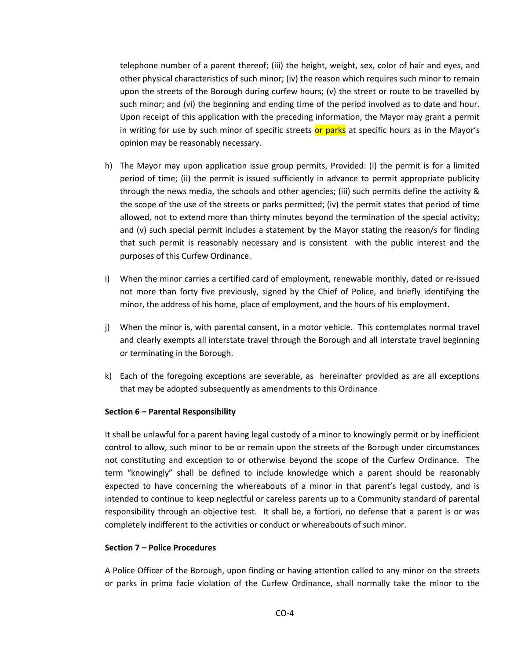telephone number of a parent thereof; (iii) the height, weight, sex, color of hair and eyes, and other physical characteristics of such minor; (iv) the reason which requires such minor to remain upon the streets of the Borough during curfew hours; (v) the street or route to be travelled by such minor; and (vi) the beginning and ending time of the period involved as to date and hour. Upon receipt of this application with the preceding information, the Mayor may grant a permit in writing for use by such minor of specific streets or parks at specific hours as in the Mayor's opinion may be reasonably necessary.

- h) The Mayor may upon application issue group permits, Provided: (i) the permit is for a limited period of time; (ii) the permit is issued sufficiently in advance to permit appropriate publicity through the news media, the schools and other agencies; (iii) such permits define the activity & the scope of the use of the streets or parks permitted; (iv) the permit states that period of time allowed, not to extend more than thirty minutes beyond the termination of the special activity; and (v) such special permit includes a statement by the Mayor stating the reason/s for finding that such permit is reasonably necessary and is consistent with the public interest and the purposes of this Curfew Ordinance.
- i) When the minor carries a certified card of employment, renewable monthly, dated or re-issued not more than forty five previously, signed by the Chief of Police, and briefly identifying the minor, the address of his home, place of employment, and the hours of his employment.
- j) When the minor is, with parental consent, in a motor vehicle. This contemplates normal travel and clearly exempts all interstate travel through the Borough and all interstate travel beginning or terminating in the Borough.
- k) Each of the foregoing exceptions are severable, as hereinafter provided as are all exceptions that may be adopted subsequently as amendments to this Ordinance

### **Section 6 – Parental Responsibility**

It shall be unlawful for a parent having legal custody of a minor to knowingly permit or by inefficient control to allow, such minor to be or remain upon the streets of the Borough under circumstances not constituting and exception to or otherwise beyond the scope of the Curfew Ordinance. The term "knowingly" shall be defined to include knowledge which a parent should be reasonably expected to have concerning the whereabouts of a minor in that parent's legal custody, and is intended to continue to keep neglectful or careless parents up to a Community standard of parental responsibility through an objective test. It shall be, a fortiori, no defense that a parent is or was completely indifferent to the activities or conduct or whereabouts of such minor.

#### **Section 7 – Police Procedures**

A Police Officer of the Borough, upon finding or having attention called to any minor on the streets or parks in prima facie violation of the Curfew Ordinance, shall normally take the minor to the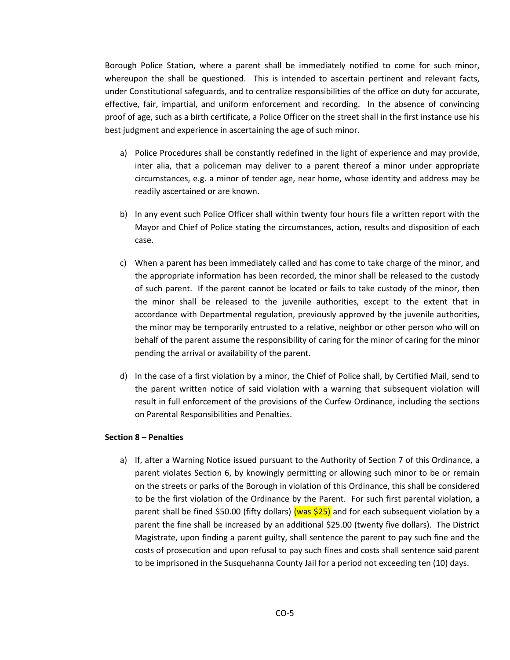Borough Police Station, where a parent shall be immediately notified to come for such minor, whereupon the shall be questioned. This is intended to ascertain pertinent and relevant facts, under Constitutional safeguards, and to centralize responsibilities of the office on duty for accurate, effective, fair, impartial, and uniform enforcement and recording. In the absence of convincing proof of age, such as a birth certificate, a Police Officer on the street shall in the first instance use his best judgment and experience in ascertaining the age of such minor.

- a) Police Procedures shall be constantly redefined in the light of experience and may provide, inter alia, that a policeman may deliver to a parent thereof a minor under appropriate circumstances, e.g. a minor of tender age, near home, whose identity and address may be readily ascertained or are known.
- b) In any event such Police Officer shall within twenty four hours file a written report with the Mayor and Chief of Police stating the circumstances, action, results and disposition of each case.
- c) When a parent has been immediately called and has come to take charge of the minor, and the appropriate information has been recorded, the minor shall be released to the custody of such parent. If the parent cannot be located or fails to take custody of the minor, then the minor shall be released to the juvenile authorities, except to the extent that in accordance with Departmental regulation, previously approved by the juvenile authorities, the minor may be temporarily entrusted to a relative, neighbor or other person who will on behalf of the parent assume the responsibility of caring for the minor of caring for the minor pending the arrival or availability of the parent.
- d) In the case of a first violation by a minor, the Chief of Police shall, by Certified Mail, send to the parent written notice of said violation with a warning that subsequent violation will result in full enforcement of the provisions of the Curfew Ordinance, including the sections on Parental Responsibilities and Penalties.

### **Section 8 – Penalties**

a) If, after a Warning Notice issued pursuant to the Authority of Section 7 of this Ordinance, a parent violates Section 6, by knowingly permitting or allowing such minor to be or remain on the streets or parks of the Borough in violation of this Ordinance, this shall be considered to be the first violation of the Ordinance by the Parent. For such first parental violation, a parent shall be fined \$50.00 (fifty dollars) (was \$25) and for each subsequent violation by a parent the fine shall be increased by an additional \$25.00 (twenty five dollars). The District Magistrate, upon finding a parent guilty, shall sentence the parent to pay such fine and the costs of prosecution and upon refusal to pay such fines and costs shall sentence said parent to be imprisoned in the Susquehanna County Jail for a period not exceeding ten (10) days.